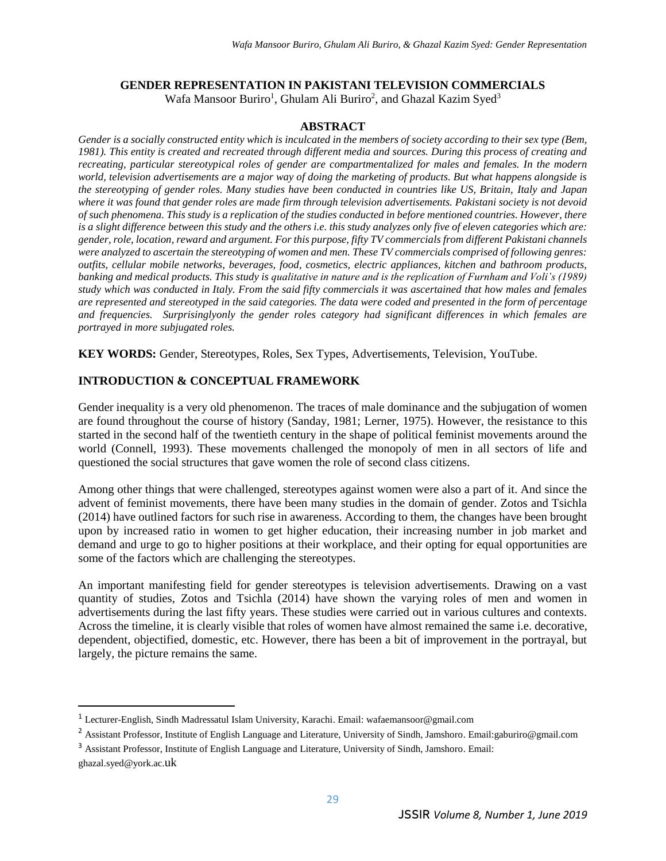# **GENDER REPRESENTATION IN PAKISTANI TELEVISION COMMERCIALS**

Wafa Mansoor Buriro<sup>1</sup>, Ghulam Ali Buriro<sup>2</sup>, and Ghazal Kazim Syed<sup>3</sup>

### **ABSTRACT**

*Gender is a socially constructed entity which is inculcated in the members of society according to their sex type (Bem, 1981). This entity is created and recreated through different media and sources. During this process of creating and recreating, particular stereotypical roles of gender are compartmentalized for males and females. In the modern world, television advertisements are a major way of doing the marketing of products. But what happens alongside is the stereotyping of gender roles. Many studies have been conducted in countries like US, Britain, Italy and Japan where it was found that gender roles are made firm through television advertisements. Pakistani society is not devoid of such phenomena. This study is a replication of the studies conducted in before mentioned countries. However, there is a slight difference between this study and the others i.e. this study analyzes only five of eleven categories which are: gender, role, location, reward and argument. For this purpose, fifty TV commercials from different Pakistani channels were analyzed to ascertain the stereotyping of women and men. These TV commercials comprised of following genres: outfits, cellular mobile networks, beverages, food, cosmetics, electric appliances, kitchen and bathroom products, banking and medical products. This study is qualitative in nature and is the replication of Furnham and Voli's (1989) study which was conducted in Italy. From the said fifty commercials it was ascertained that how males and females are represented and stereotyped in the said categories. The data were coded and presented in the form of percentage and frequencies. Surprisinglyonly the gender roles category had significant differences in which females are portrayed in more subjugated roles.* 

**KEY WORDS:** Gender, Stereotypes, Roles, Sex Types, Advertisements, Television, YouTube.

### **INTRODUCTION & CONCEPTUAL FRAMEWORK**

Gender inequality is a very old phenomenon. The traces of male dominance and the subjugation of women are found throughout the course of history (Sanday, 1981; Lerner, 1975). However, the resistance to this started in the second half of the twentieth century in the shape of political feminist movements around the world (Connell, 1993). These movements challenged the monopoly of men in all sectors of life and questioned the social structures that gave women the role of second class citizens.

Among other things that were challenged, stereotypes against women were also a part of it. And since the advent of feminist movements, there have been many studies in the domain of gender. Zotos and Tsichla (2014) have outlined factors for such rise in awareness. According to them, the changes have been brought upon by increased ratio in women to get higher education, their increasing number in job market and demand and urge to go to higher positions at their workplace, and their opting for equal opportunities are some of the factors which are challenging the stereotypes.

An important manifesting field for gender stereotypes is television advertisements. Drawing on a vast quantity of studies, Zotos and Tsichla (2014) have shown the varying roles of men and women in advertisements during the last fifty years. These studies were carried out in various cultures and contexts. Across the timeline, it is clearly visible that roles of women have almost remained the same i.e. decorative, dependent, objectified, domestic, etc. However, there has been a bit of improvement in the portrayal, but largely, the picture remains the same.

 $\overline{\phantom{a}}$ 

<sup>1</sup> Lecturer-English, Sindh Madressatul Islam University, Karachi. Email: wafaemansoor@gmail.com

<sup>&</sup>lt;sup>2</sup> Assistant Professor, Institute of English Language and Literature, University of Sindh, Jamshoro. Email:gaburiro@gmail.com

<sup>&</sup>lt;sup>3</sup> Assistant Professor, Institute of English Language and Literature, University of Sindh, Jamshoro. Email: ghazal.syed@york.ac.uk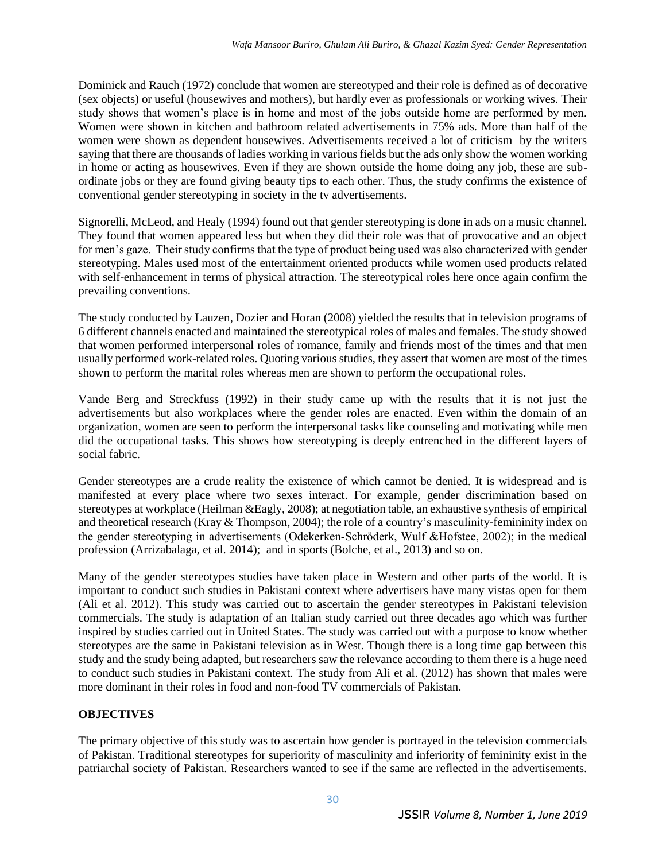Dominick and Rauch (1972) conclude that women are stereotyped and their role is defined as of decorative (sex objects) or useful (housewives and mothers), but hardly ever as professionals or working wives. Their study shows that women's place is in home and most of the jobs outside home are performed by men. Women were shown in kitchen and bathroom related advertisements in 75% ads. More than half of the women were shown as dependent housewives. Advertisements received a lot of criticism by the writers saying that there are thousands of ladies working in various fields but the ads only show the women working in home or acting as housewives. Even if they are shown outside the home doing any job, these are subordinate jobs or they are found giving beauty tips to each other. Thus, the study confirms the existence of conventional gender stereotyping in society in the tv advertisements.

Signorelli, McLeod, and Healy (1994) found out that gender stereotyping is done in ads on a music channel. They found that women appeared less but when they did their role was that of provocative and an object for men's gaze. Their study confirms that the type of product being used was also characterized with gender stereotyping. Males used most of the entertainment oriented products while women used products related with self-enhancement in terms of physical attraction. The stereotypical roles here once again confirm the prevailing conventions.

The study conducted by Lauzen, Dozier and Horan (2008) yielded the results that in television programs of 6 different channels enacted and maintained the stereotypical roles of males and females. The study showed that women performed interpersonal roles of romance, family and friends most of the times and that men usually performed work-related roles. Quoting various studies, they assert that women are most of the times shown to perform the marital roles whereas men are shown to perform the occupational roles.

Vande Berg and Streckfuss (1992) in their study came up with the results that it is not just the advertisements but also workplaces where the gender roles are enacted. Even within the domain of an organization, women are seen to perform the interpersonal tasks like counseling and motivating while men did the occupational tasks. This shows how stereotyping is deeply entrenched in the different layers of social fabric.

Gender stereotypes are a crude reality the existence of which cannot be denied. It is widespread and is manifested at every place where two sexes interact. For example, gender discrimination based on stereotypes at workplace (Heilman &Eagly, 2008); at negotiation table, an exhaustive synthesis of empirical and theoretical research (Kray & Thompson, 2004); the role of a country's masculinity-femininity index on the gender stereotyping in advertisements (Odekerken‐Schröderk, Wulf &Hofstee, 2002); in the medical profession (Arrizabalaga, et al. 2014); and in sports (Bolche, et al., 2013) and so on.

Many of the gender stereotypes studies have taken place in Western and other parts of the world. It is important to conduct such studies in Pakistani context where advertisers have many vistas open for them (Ali et al. 2012). This study was carried out to ascertain the gender stereotypes in Pakistani television commercials. The study is adaptation of an Italian study carried out three decades ago which was further inspired by studies carried out in United States. The study was carried out with a purpose to know whether stereotypes are the same in Pakistani television as in West. Though there is a long time gap between this study and the study being adapted, but researchers saw the relevance according to them there is a huge need to conduct such studies in Pakistani context. The study from Ali et al. (2012) has shown that males were more dominant in their roles in food and non-food TV commercials of Pakistan.

## **OBJECTIVES**

The primary objective of this study was to ascertain how gender is portrayed in the television commercials of Pakistan. Traditional stereotypes for superiority of masculinity and inferiority of femininity exist in the patriarchal society of Pakistan. Researchers wanted to see if the same are reflected in the advertisements.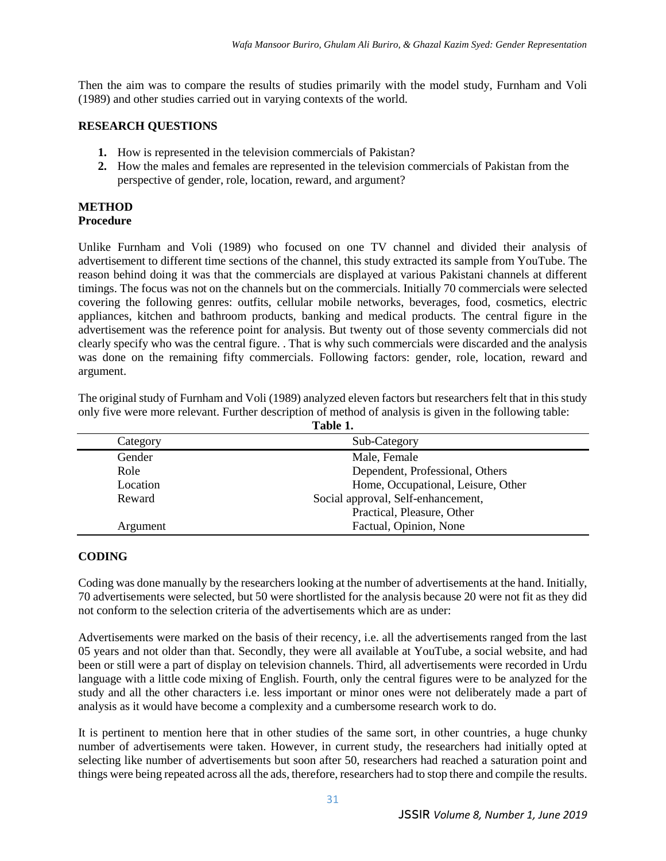Then the aim was to compare the results of studies primarily with the model study, Furnham and Voli (1989) and other studies carried out in varying contexts of the world.

### **RESEARCH QUESTIONS**

- **1.** How is represented in the television commercials of Pakistan?
- **2.** How the males and females are represented in the television commercials of Pakistan from the perspective of gender, role, location, reward, and argument?

#### **METHOD Procedure**

Unlike Furnham and Voli (1989) who focused on one TV channel and divided their analysis of advertisement to different time sections of the channel, this study extracted its sample from YouTube. The reason behind doing it was that the commercials are displayed at various Pakistani channels at different timings. The focus was not on the channels but on the commercials. Initially 70 commercials were selected covering the following genres: outfits, cellular mobile networks, beverages, food, cosmetics, electric appliances, kitchen and bathroom products, banking and medical products. The central figure in the advertisement was the reference point for analysis. But twenty out of those seventy commercials did not clearly specify who was the central figure. . That is why such commercials were discarded and the analysis was done on the remaining fifty commercials. Following factors: gender, role, location, reward and argument.

The original study of Furnham and Voli (1989) analyzed eleven factors but researchers felt that in this study only five were more relevant. Further description of method of analysis is given in the following table: **Table 1.**

| *******  |                                    |  |  |  |
|----------|------------------------------------|--|--|--|
| Category | Sub-Category                       |  |  |  |
| Gender   | Male, Female                       |  |  |  |
| Role     | Dependent, Professional, Others    |  |  |  |
| Location | Home, Occupational, Leisure, Other |  |  |  |
| Reward   | Social approval, Self-enhancement, |  |  |  |
|          | Practical, Pleasure, Other         |  |  |  |
| Argument | Factual, Opinion, None             |  |  |  |

### **CODING**

Coding was done manually by the researchers looking at the number of advertisements at the hand. Initially, 70 advertisements were selected, but 50 were shortlisted for the analysis because 20 were not fit as they did not conform to the selection criteria of the advertisements which are as under:

Advertisements were marked on the basis of their recency, i.e. all the advertisements ranged from the last 05 years and not older than that. Secondly, they were all available at YouTube, a social website, and had been or still were a part of display on television channels. Third, all advertisements were recorded in Urdu language with a little code mixing of English. Fourth, only the central figures were to be analyzed for the study and all the other characters i.e. less important or minor ones were not deliberately made a part of analysis as it would have become a complexity and a cumbersome research work to do.

It is pertinent to mention here that in other studies of the same sort, in other countries, a huge chunky number of advertisements were taken. However, in current study, the researchers had initially opted at selecting like number of advertisements but soon after 50, researchers had reached a saturation point and things were being repeated across all the ads, therefore, researchers had to stop there and compile the results.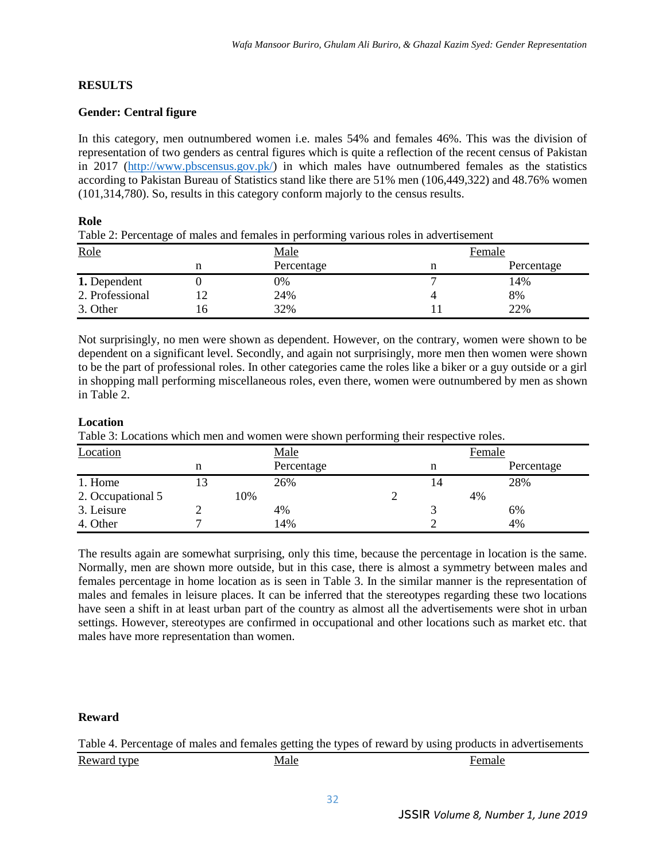### **RESULTS**

### **Gender: Central figure**

In this category, men outnumbered women i.e. males 54% and females 46%. This was the division of representation of two genders as central figures which is quite a reflection of the recent census of Pakistan in 2017 [\(http://www.pbscensus.gov.pk/\)](http://www.pbscensus.gov.pk/) in which males have outnumbered females as the statistics according to Pakistan Bureau of Statistics stand like there are 51% men (106,449,322) and 48.76% women (101,314,780). So, results in this category conform majorly to the census results.

#### **Role**

Table 2: Percentage of males and females in performing various roles in advertisement

| Role            |    | <b>Male</b> | Female     |  |
|-----------------|----|-------------|------------|--|
|                 |    | Percentage  | Percentage |  |
| 1. Dependent    |    | 0%          | 14%        |  |
| 2. Professional | 12 | 24%         | 8%         |  |
| 3. Other        | l6 | 32%         | 22%        |  |

Not surprisingly, no men were shown as dependent. However, on the contrary, women were shown to be dependent on a significant level. Secondly, and again not surprisingly, more men then women were shown to be the part of professional roles. In other categories came the roles like a biker or a guy outside or a girl in shopping mall performing miscellaneous roles, even there, women were outnumbered by men as shown in Table 2.

### **Location**

Table 3: Locations which men and women were shown performing their respective roles.

| Location          |    | Male       |  |   |    | Female     |  |
|-------------------|----|------------|--|---|----|------------|--|
|                   |    | Percentage |  | n |    | Percentage |  |
| 1. Home           | 13 | 26%        |  |   |    | 28%        |  |
| 2. Occupational 5 |    | 10%        |  |   | 4% |            |  |
| 3. Leisure        |    | 4%         |  |   |    | 6%         |  |
| 4. Other          |    | 14%        |  |   |    | 4%         |  |

The results again are somewhat surprising, only this time, because the percentage in location is the same. Normally, men are shown more outside, but in this case, there is almost a symmetry between males and females percentage in home location as is seen in Table 3. In the similar manner is the representation of males and females in leisure places. It can be inferred that the stereotypes regarding these two locations have seen a shift in at least urban part of the country as almost all the advertisements were shot in urban settings. However, stereotypes are confirmed in occupational and other locations such as market etc. that males have more representation than women.

### **Reward**

Table 4. Percentage of males and females getting the types of reward by using products in advertisements Reward type **Male** Male **Female** Female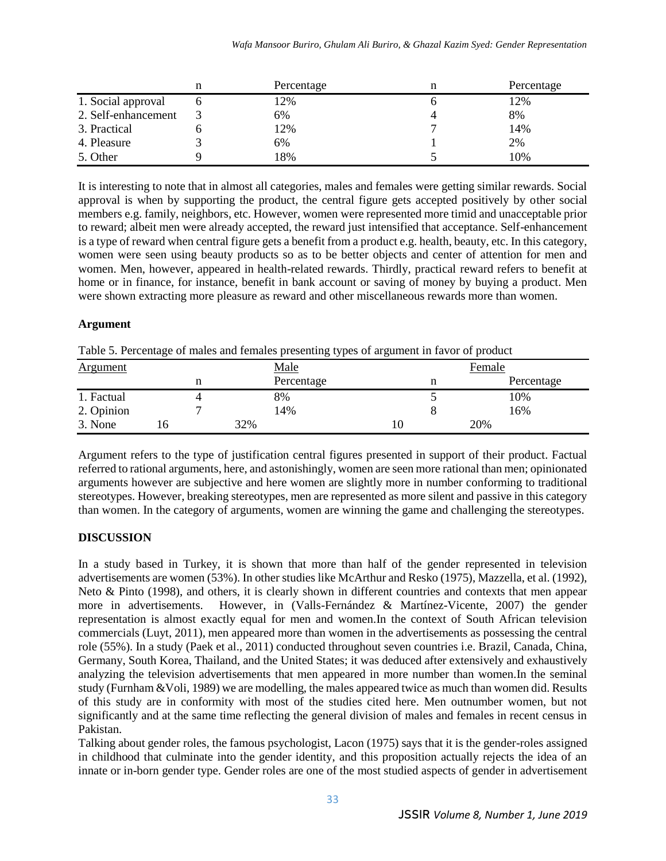|                     | Percentage | n | Percentage |
|---------------------|------------|---|------------|
| 1. Social approval  | 12%        |   | 12%        |
| 2. Self-enhancement | 6%         |   | 8%         |
| 3. Practical        | 12%        |   | 14%        |
| 4. Pleasure         | 6%         |   | 2%         |
| 5. Other            | 18%        |   | 10%        |

It is interesting to note that in almost all categories, males and females were getting similar rewards. Social approval is when by supporting the product, the central figure gets accepted positively by other social members e.g. family, neighbors, etc. However, women were represented more timid and unacceptable prior to reward; albeit men were already accepted, the reward just intensified that acceptance. Self-enhancement is a type of reward when central figure gets a benefit from a product e.g. health, beauty, etc. In this category, women were seen using beauty products so as to be better objects and center of attention for men and women. Men, however, appeared in health-related rewards. Thirdly, practical reward refers to benefit at home or in finance, for instance, benefit in bank account or saving of money by buying a product. Men were shown extracting more pleasure as reward and other miscellaneous rewards more than women.

### **Argument**

| Table 5. Percentage of males and females presenting types of argument in favor of product |  |  |  |
|-------------------------------------------------------------------------------------------|--|--|--|
|                                                                                           |  |  |  |

| <b>Argument</b> |  |     | <u>Male</u> |    | Female |     |            |
|-----------------|--|-----|-------------|----|--------|-----|------------|
|                 |  |     | Percentage  |    | n      |     | Percentage |
| 1. Factual      |  |     | 8%          |    |        |     | 10%        |
| 2. Opinion      |  |     | 14%         |    |        |     | 16%        |
| 3. None         |  | 32% |             | 1Ψ |        | 20% |            |

Argument refers to the type of justification central figures presented in support of their product. Factual referred to rational arguments, here, and astonishingly, women are seen more rational than men; opinionated arguments however are subjective and here women are slightly more in number conforming to traditional stereotypes. However, breaking stereotypes, men are represented as more silent and passive in this category than women. In the category of arguments, women are winning the game and challenging the stereotypes.

## **DISCUSSION**

In a study based in Turkey, it is shown that more than half of the gender represented in television advertisements are women (53%). In other studies like McArthur and Resko (1975), Mazzella, et al. (1992), Neto & Pinto (1998), and others, it is clearly shown in different countries and contexts that men appear more in advertisements. However, in (Valls-Fernández & Martínez-Vicente, 2007) the gender representation is almost exactly equal for men and women.In the context of South African television commercials (Luyt, 2011), men appeared more than women in the advertisements as possessing the central role (55%). In a study (Paek et al., 2011) conducted throughout seven countries i.e. Brazil, Canada, China, Germany, South Korea, Thailand, and the United States; it was deduced after extensively and exhaustively analyzing the television advertisements that men appeared in more number than women.In the seminal study (Furnham &Voli, 1989) we are modelling, the males appeared twice as much than women did. Results of this study are in conformity with most of the studies cited here. Men outnumber women, but not significantly and at the same time reflecting the general division of males and females in recent census in Pakistan.

Talking about gender roles, the famous psychologist, Lacon (1975) says that it is the gender-roles assigned in childhood that culminate into the gender identity, and this proposition actually rejects the idea of an innate or in-born gender type. Gender roles are one of the most studied aspects of gender in advertisement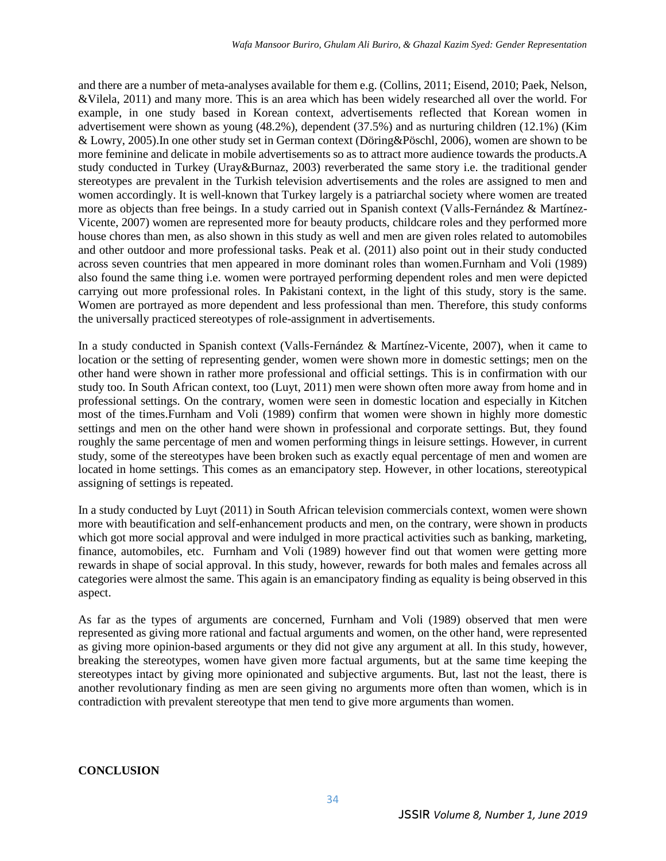and there are a number of meta-analyses available for them e.g. (Collins, 2011; Eisend, 2010; Paek, Nelson, &Vilela, 2011) and many more. This is an area which has been widely researched all over the world. For example, in one study based in Korean context, advertisements reflected that Korean women in advertisement were shown as young (48.2%), dependent (37.5%) and as nurturing children (12.1%) (Kim & Lowry, 2005).In one other study set in German context (Döring&Pöschl, 2006), women are shown to be more feminine and delicate in mobile advertisements so as to attract more audience towards the products.A study conducted in Turkey (Uray&Burnaz, 2003) reverberated the same story i.e. the traditional gender stereotypes are prevalent in the Turkish television advertisements and the roles are assigned to men and women accordingly. It is well-known that Turkey largely is a patriarchal society where women are treated more as objects than free beings. In a study carried out in Spanish context (Valls-Fernández & Martínez-Vicente, 2007) women are represented more for beauty products, childcare roles and they performed more house chores than men, as also shown in this study as well and men are given roles related to automobiles and other outdoor and more professional tasks. Peak et al. (2011) also point out in their study conducted across seven countries that men appeared in more dominant roles than women.Furnham and Voli (1989) also found the same thing i.e. women were portrayed performing dependent roles and men were depicted carrying out more professional roles. In Pakistani context, in the light of this study, story is the same. Women are portrayed as more dependent and less professional than men. Therefore, this study conforms the universally practiced stereotypes of role-assignment in advertisements.

In a study conducted in Spanish context (Valls-Fernández & Martínez-Vicente, 2007), when it came to location or the setting of representing gender, women were shown more in domestic settings; men on the other hand were shown in rather more professional and official settings. This is in confirmation with our study too. In South African context, too (Luyt, 2011) men were shown often more away from home and in professional settings. On the contrary, women were seen in domestic location and especially in Kitchen most of the times.Furnham and Voli (1989) confirm that women were shown in highly more domestic settings and men on the other hand were shown in professional and corporate settings. But, they found roughly the same percentage of men and women performing things in leisure settings. However, in current study, some of the stereotypes have been broken such as exactly equal percentage of men and women are located in home settings. This comes as an emancipatory step. However, in other locations, stereotypical assigning of settings is repeated.

In a study conducted by Luyt (2011) in South African television commercials context, women were shown more with beautification and self-enhancement products and men, on the contrary, were shown in products which got more social approval and were indulged in more practical activities such as banking, marketing, finance, automobiles, etc. Furnham and Voli (1989) however find out that women were getting more rewards in shape of social approval. In this study, however, rewards for both males and females across all categories were almost the same. This again is an emancipatory finding as equality is being observed in this aspect.

As far as the types of arguments are concerned, Furnham and Voli (1989) observed that men were represented as giving more rational and factual arguments and women, on the other hand, were represented as giving more opinion-based arguments or they did not give any argument at all. In this study, however, breaking the stereotypes, women have given more factual arguments, but at the same time keeping the stereotypes intact by giving more opinionated and subjective arguments. But, last not the least, there is another revolutionary finding as men are seen giving no arguments more often than women, which is in contradiction with prevalent stereotype that men tend to give more arguments than women.

### **CONCLUSION**

34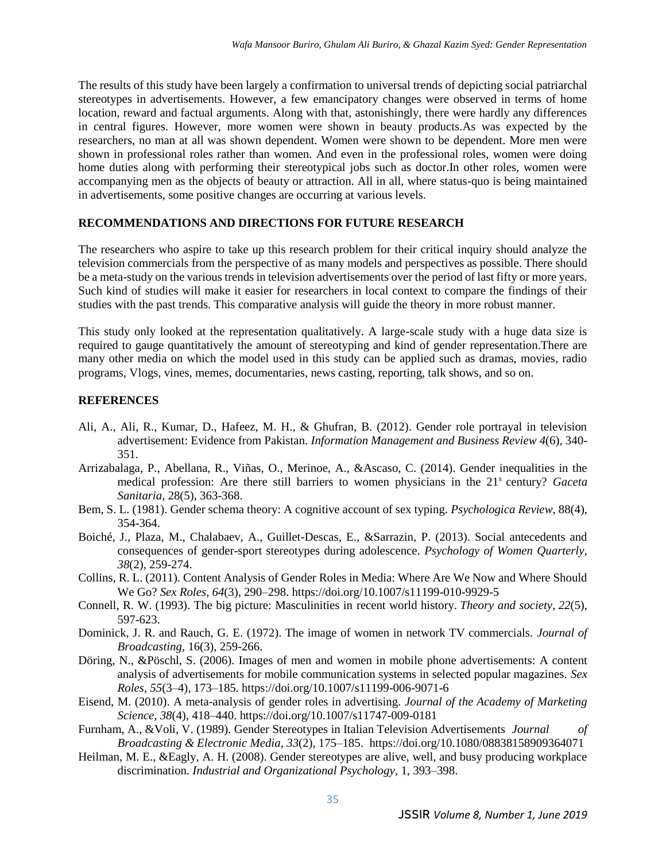The results of this study have been largely a confirmation to universal trends of depicting social patriarchal stereotypes in advertisements. However, a few emancipatory changes were observed in terms of home location, reward and factual arguments. Along with that, astonishingly, there were hardly any differences in central figures. However, more women were shown in beauty products.As was expected by the researchers, no man at all was shown dependent. Women were shown to be dependent. More men were shown in professional roles rather than women. And even in the professional roles, women were doing home duties along with performing their stereotypical jobs such as doctor.In other roles, women were accompanying men as the objects of beauty or attraction. All in all, where status-quo is being maintained in advertisements, some positive changes are occurring at various levels.

### **RECOMMENDATIONS AND DIRECTIONS FOR FUTURE RESEARCH**

The researchers who aspire to take up this research problem for their critical inquiry should analyze the television commercials from the perspective of as many models and perspectives as possible. There should be a meta-study on the various trends in television advertisements over the period of last fifty or more years. Such kind of studies will make it easier for researchers in local context to compare the findings of their studies with the past trends. This comparative analysis will guide the theory in more robust manner.

This study only looked at the representation qualitatively. A large-scale study with a huge data size is required to gauge quantitatively the amount of stereotyping and kind of gender representation.There are many other media on which the model used in this study can be applied such as dramas, movies, radio programs, Vlogs, vines, memes, documentaries, news casting, reporting, talk shows, and so on.

#### **REFERENCES**

- Ali, A., Ali, R., Kumar, D., Hafeez, M. H., & Ghufran, B. (2012). Gender role portrayal in television advertisement: Evidence from Pakistan. *Information Management and Business Review 4*(6), 340- 351.
- Arrizabalaga, P., Abellana, R., Viñas, O., Merinoe, A., &Ascaso, C. (2014). Gender inequalities in the medical profession: Are there still barriers to women physicians in the 21<sup>s</sup> century? *Gaceta Sanitaria,* 28(5), 363-368.
- Bem, S. L. (1981). Gender schema theory: A cognitive account of sex typing. *Psychologica Review,* 88(4), 354-364.
- Boiché, J., Plaza, M., Chalabaev, A., Guillet-Descas, E., &Sarrazin, P. (2013). Social antecedents and consequences of gender-sport stereotypes during adolescence. *Psychology of Women Quarterly, 38*(2), 259-274.
- Collins, R. L. (2011). Content Analysis of Gender Roles in Media: Where Are We Now and Where Should We Go? *Sex Roles*, *64*(3), 290–298. https://doi.org/10.1007/s11199-010-9929-5
- Connell, R. W. (1993). The big picture: Masculinities in recent world history. *Theory and society*, *22*(5), 597-623.
- Dominick, J. R. and Rauch, G. E. (1972). The image of women in network TV commercials. *Journal of Broadcasting,* 16(3), 259-266.
- Döring, N., &Pöschl, S. (2006). Images of men and women in mobile phone advertisements: A content analysis of advertisements for mobile communication systems in selected popular magazines. *Sex Roles*, *55*(3–4), 173–185. https://doi.org/10.1007/s11199-006-9071-6
- Eisend, M. (2010). A meta-analysis of gender roles in advertising. *Journal of the Academy of Marketing Science*, *38*(4), 418–440. https://doi.org/10.1007/s11747-009-0181
- Furnham, A., &Voli, V. (1989). Gender Stereotypes in Italian Television Advertisements *Journal of Broadcasting & Electronic Media*, *33*(2), 175–185. https://doi.org/10.1080/08838158909364071
- Heilman, M. E., &Eagly, A. H. (2008). Gender stereotypes are alive, well, and busy producing workplace discrimination*. Industrial and Organizational Psychology*, 1, 393–398.